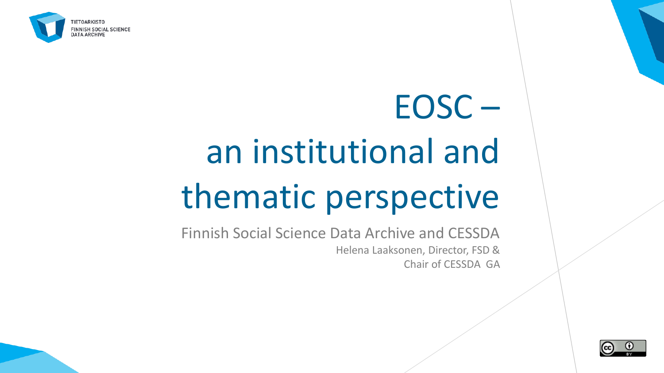

# EOSC – an institutional and thematic perspective

Finnish Social Science Data Archive and CESSDA Helena Laaksonen, Director, FSD & Chair of CESSDA GA

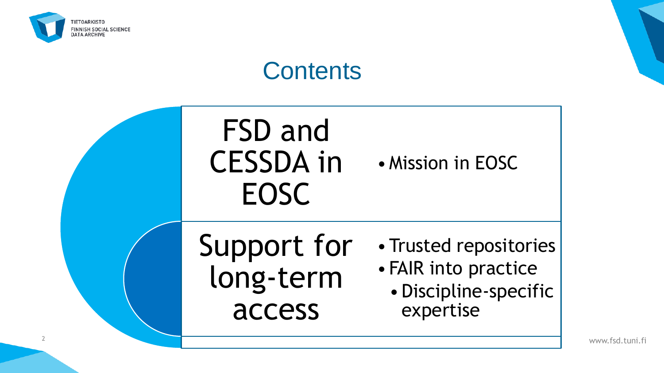

## **Contents**



www.fsd.tuni.fi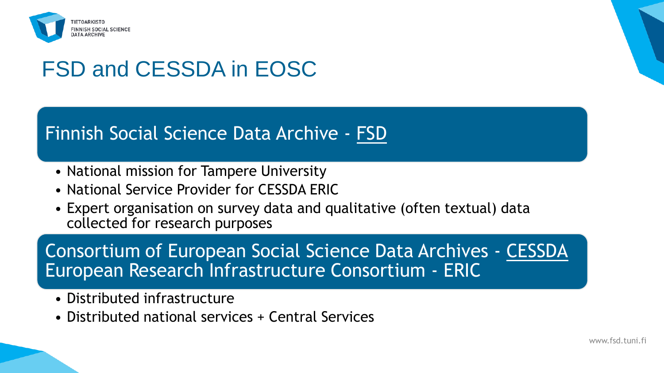

## FSD and CESSDA in EOSC

#### Finnish Social Science Data Archive - [FSD](https://www.fsd.tuni.fi/)

- National mission for Tampere University
- National Service Provider for CESSDA ERIC
- Expert organisation on survey data and qualitative (often textual) data collected for research purposes

Consortium of European Social Science Data Archives - [CESSDA](https://www.cessda.eu/) European Research Infrastructure Consortium - ERIC

- Distributed infrastructure
- Distributed national services + Central Services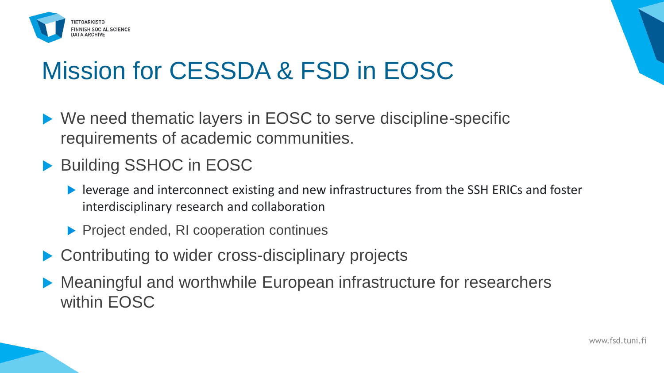

# Mission for CESSDA & FSD in EOSC

- ▶ We need thematic layers in EOSC to serve discipline-specific requirements of academic communities.
- ▶ Building SSHOC in EOSC
	- leverage and interconnect existing and new infrastructures from the SSH ERICs and foster interdisciplinary research and collaboration
	- **Project ended, RI cooperation continues**
- Contributing to wider cross-disciplinary projects
- Meaningful and worthwhile European infrastructure for researchers within EOSC

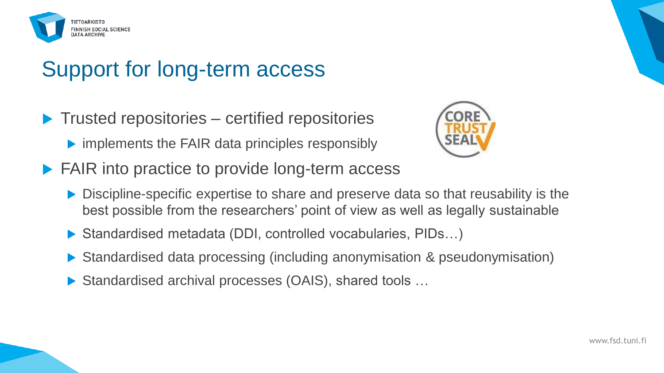

### Support for long-term access

- $\blacktriangleright$  Trusted repositories certified repositories
	- $\triangleright$  implements the FAIR data principles responsibly



- ▶ FAIR into practice to provide long-term access
	- ▶ Discipline-specific expertise to share and preserve data so that reusability is the best possible from the researchers' point of view as well as legally sustainable
	- ▶ Standardised metadata (DDI, controlled vocabularies, PIDs...)
	- ▶ Standardised data processing (including anonymisation & pseudonymisation)
	- ▶ Standardised archival processes (OAIS), shared tools ...